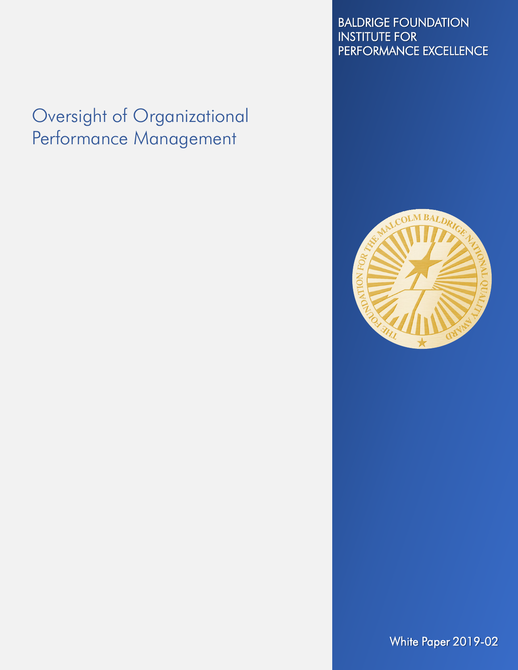# Oversight of Organizational Performance Management

#### BALDRIGE FOUNDATION INSTITUTE FOR PERFORMANCE EXCELLENCE



White Paper 2019-02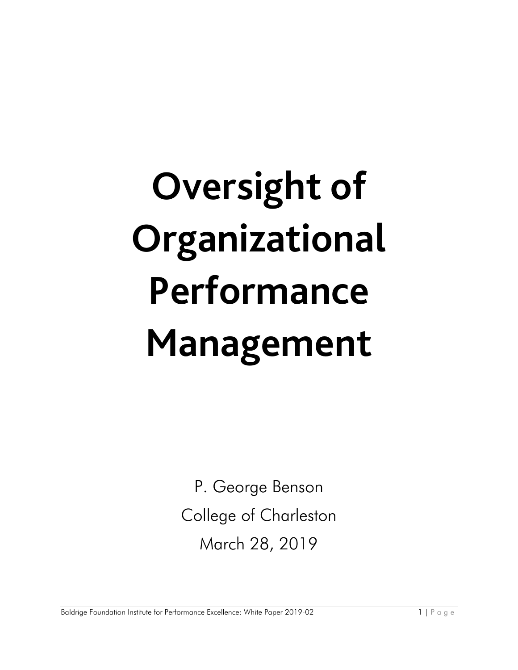# **Oversight of Organizational Performance Management**

P. George Benson College of Charleston March 28, 2019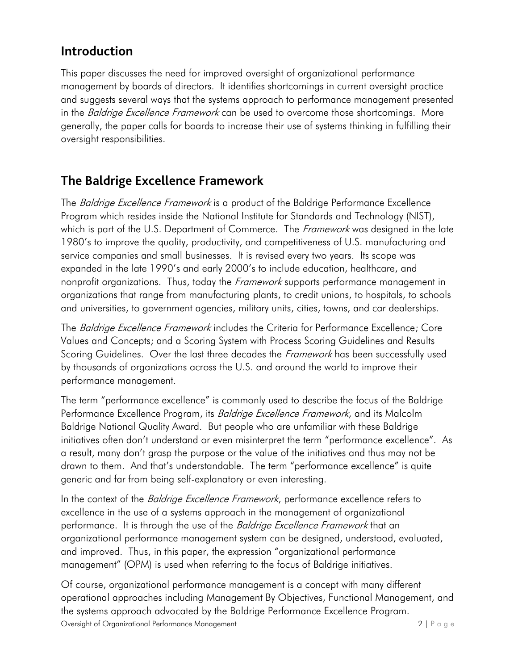#### **Introduction**

This paper discusses the need for improved oversight of organizational performance management by boards of directors. It identifies shortcomings in current oversight practice and suggests several ways that the systems approach to performance management presented in the *Baldrige Excellence Framework* can be used to overcome those shortcomings. More generally, the paper calls for boards to increase their use of systems thinking in fulfilling their oversight responsibilities.

#### **The Baldrige Excellence Framework**

The *Baldrige Excellence Framework* is a product of the Baldrige Performance Excellence Program which resides inside the National Institute for Standards and Technology (NIST), which is part of the U.S. Department of Commerce. The *Framework* was designed in the late 1980's to improve the quality, productivity, and competitiveness of U.S. manufacturing and service companies and small businesses. It is revised every two years. Its scope was expanded in the late 1990's and early 2000's to include education, healthcare, and nonprofit organizations. Thus, today the *Framework* supports performance management in organizations that range from manufacturing plants, to credit unions, to hospitals, to schools and universities, to government agencies, military units, cities, towns, and car dealerships.

The Baldrige Excellence Framework includes the Criteria for Performance Excellence; Core Values and Concepts; and a Scoring System with Process Scoring Guidelines and Results Scoring Guidelines. Over the last three decades the *Framework* has been successfully used by thousands of organizations across the U.S. and around the world to improve their performance management.

The term "performance excellence" is commonly used to describe the focus of the Baldrige Performance Excellence Program, its *Baldrige Excellence Framework*, and its Malcolm Baldrige National Quality Award. But people who are unfamiliar with these Baldrige initiatives often don't understand or even misinterpret the term "performance excellence". As a result, many don't grasp the purpose or the value of the initiatives and thus may not be drawn to them. And that's understandable. The term "performance excellence" is quite generic and far from being self-explanatory or even interesting.

In the context of the *Baldrige Excellence Framework*, performance excellence refers to excellence in the use of a systems approach in the management of organizational performance. It is through the use of the *Baldrige Excellence Framework* that an organizational performance management system can be designed, understood, evaluated, and improved. Thus, in this paper, the expression "organizational performance management" (OPM) is used when referring to the focus of Baldrige initiatives.

Of course, organizational performance management is a concept with many different operational approaches including Management By Objectives, Functional Management, and the systems approach advocated by the Baldrige Performance Excellence Program.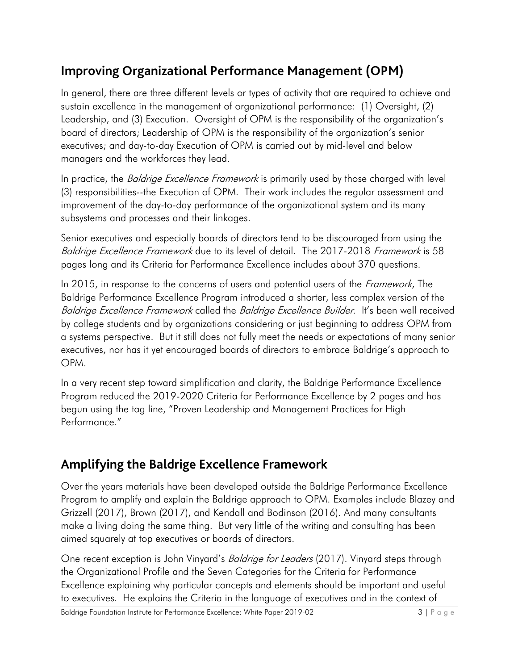## **Improving Organizational Performance Management (OPM)**

In general, there are three different levels or types of activity that are required to achieve and sustain excellence in the management of organizational performance: (1) Oversight, (2) Leadership, and (3) Execution. Oversight of OPM is the responsibility of the organization's board of directors; Leadership of OPM is the responsibility of the organization's senior executives; and day-to-day Execution of OPM is carried out by mid-level and below managers and the workforces they lead.

In practice, the *Baldrige Excellence Framework* is primarily used by those charged with level (3) responsibilities--the Execution of OPM. Their work includes the regular assessment and improvement of the day-to-day performance of the organizational system and its many subsystems and processes and their linkages.

Senior executives and especially boards of directors tend to be discouraged from using the Baldrige Excellence Framework due to its level of detail. The 2017-2018 Framework is 58 pages long and its Criteria for Performance Excellence includes about 370 questions.

In 2015, in response to the concerns of users and potential users of the *Framework*, The Baldrige Performance Excellence Program introduced a shorter, less complex version of the Baldrige Excellence Framework called the Baldrige Excellence Builder. It's been well received by college students and by organizations considering or just beginning to address OPM from a systems perspective. But it still does not fully meet the needs or expectations of many senior executives, nor has it yet encouraged boards of directors to embrace Baldrige's approach to OPM.

In a very recent step toward simplification and clarity, the Baldrige Performance Excellence Program reduced the 2019-2020 Criteria for Performance Excellence by 2 pages and has begun using the tag line, "Proven Leadership and Management Practices for High Performance."

#### **Amplifying the Baldrige Excellence Framework**

Over the years materials have been developed outside the Baldrige Performance Excellence Program to amplify and explain the Baldrige approach to OPM. Examples include Blazey and Grizzell (2017), Brown (2017), and Kendall and Bodinson (2016). And many consultants make a living doing the same thing. But very little of the writing and consulting has been aimed squarely at top executives or boards of directors.

One recent exception is John Vinyard's *Baldrige for Leaders* (2017). Vinyard steps through the Organizational Profile and the Seven Categories for the Criteria for Performance Excellence explaining why particular concepts and elements should be important and useful to executives. He explains the Criteria in the language of executives and in the context of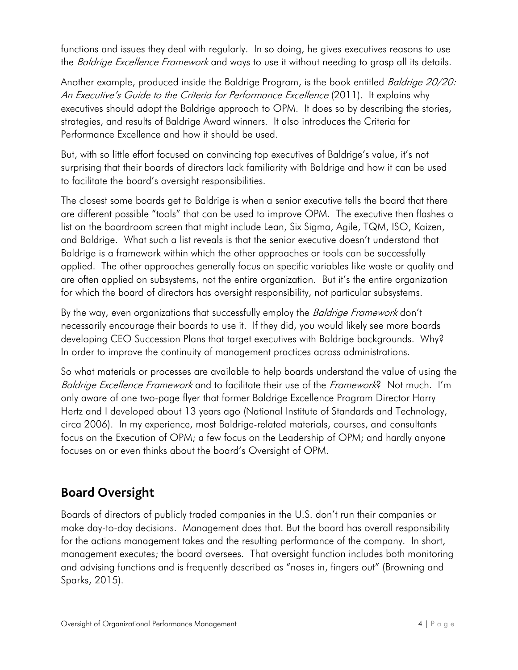functions and issues they deal with regularly. In so doing, he gives executives reasons to use the *Baldrige Excellence Framework* and ways to use it without needing to grasp all its details.

Another example, produced inside the Baldrige Program, is the book entitled Baldrige 20/20: An Executive's Guide to the Criteria for Performance Excellence (2011). It explains why executives should adopt the Baldrige approach to OPM. It does so by describing the stories, strategies, and results of Baldrige Award winners. It also introduces the Criteria for Performance Excellence and how it should be used.

But, with so little effort focused on convincing top executives of Baldrige's value, it's not surprising that their boards of directors lack familiarity with Baldrige and how it can be used to facilitate the board's oversight responsibilities.

The closest some boards get to Baldrige is when a senior executive tells the board that there are different possible "tools" that can be used to improve OPM. The executive then flashes a list on the boardroom screen that might include Lean, Six Sigma, Agile, TQM, ISO, Kaizen, and Baldrige. What such a list reveals is that the senior executive doesn't understand that Baldrige is a framework within which the other approaches or tools can be successfully applied. The other approaches generally focus on specific variables like waste or quality and are often applied on subsystems, not the entire organization. But it's the entire organization for which the board of directors has oversight responsibility, not particular subsystems.

By the way, even organizations that successfully employ the *Baldrige Framework* don't necessarily encourage their boards to use it. If they did, you would likely see more boards developing CEO Succession Plans that target executives with Baldrige backgrounds. Why? In order to improve the continuity of management practices across administrations.

So what materials or processes are available to help boards understand the value of using the Baldrige Excellence Framework and to facilitate their use of the Framework? Not much. I'm only aware of one two-page flyer that former Baldrige Excellence Program Director Harry Hertz and I developed about 13 years ago (National Institute of Standards and Technology, circa 2006). In my experience, most Baldrige-related materials, courses, and consultants focus on the Execution of OPM; a few focus on the Leadership of OPM; and hardly anyone focuses on or even thinks about the board's Oversight of OPM.

## **Board Oversight**

Boards of directors of publicly traded companies in the U.S. don't run their companies or make day-to-day decisions. Management does that. But the board has overall responsibility for the actions management takes and the resulting performance of the company. In short, management executes; the board oversees. That oversight function includes both monitoring and advising functions and is frequently described as "noses in, fingers out" (Browning and Sparks, 2015).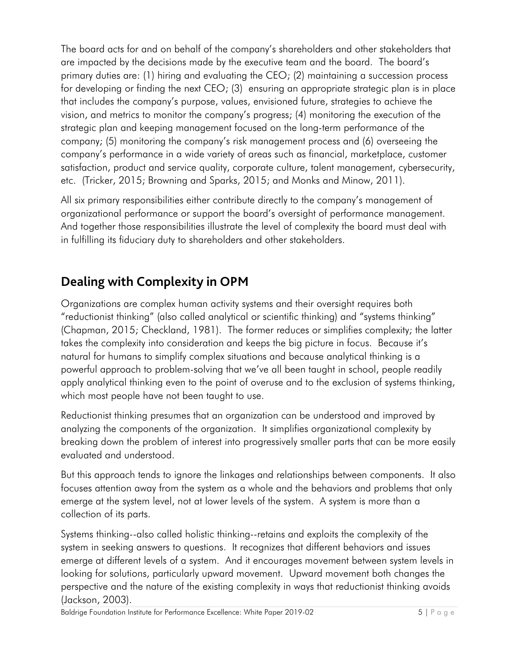The board acts for and on behalf of the company's shareholders and other stakeholders that are impacted by the decisions made by the executive team and the board. The board's primary duties are: (1) hiring and evaluating the CEO; (2) maintaining a succession process for developing or finding the next CEO; (3) ensuring an appropriate strategic plan is in place that includes the company's purpose, values, envisioned future, strategies to achieve the vision, and metrics to monitor the company's progress; (4) monitoring the execution of the strategic plan and keeping management focused on the long-term performance of the company; (5) monitoring the company's risk management process and (6) overseeing the company's performance in a wide variety of areas such as financial, marketplace, customer satisfaction, product and service quality, corporate culture, talent management, cybersecurity, etc. (Tricker, 2015; Browning and Sparks, 2015; and Monks and Minow, 2011).

All six primary responsibilities either contribute directly to the company's management of organizational performance or support the board's oversight of performance management. And together those responsibilities illustrate the level of complexity the board must deal with in fulfilling its fiduciary duty to shareholders and other stakeholders.

## **Dealing with Complexity in OPM**

Organizations are complex human activity systems and their oversight requires both "reductionist thinking" (also called analytical or scientific thinking) and "systems thinking" (Chapman, 2015; Checkland, 1981). The former reduces or simplifies complexity; the latter takes the complexity into consideration and keeps the big picture in focus. Because it's natural for humans to simplify complex situations and because analytical thinking is a powerful approach to problem-solving that we've all been taught in school, people readily apply analytical thinking even to the point of overuse and to the exclusion of systems thinking, which most people have not been taught to use.

Reductionist thinking presumes that an organization can be understood and improved by analyzing the components of the organization. It simplifies organizational complexity by breaking down the problem of interest into progressively smaller parts that can be more easily evaluated and understood.

But this approach tends to ignore the linkages and relationships between components. It also focuses attention away from the system as a whole and the behaviors and problems that only emerge at the system level, not at lower levels of the system. A system is more than a collection of its parts.

Systems thinking--also called holistic thinking--retains and exploits the complexity of the system in seeking answers to questions. It recognizes that different behaviors and issues emerge at different levels of a system. And it encourages movement between system levels in looking for solutions, particularly upward movement. Upward movement both changes the perspective and the nature of the existing complexity in ways that reductionist thinking avoids (Jackson, 2003).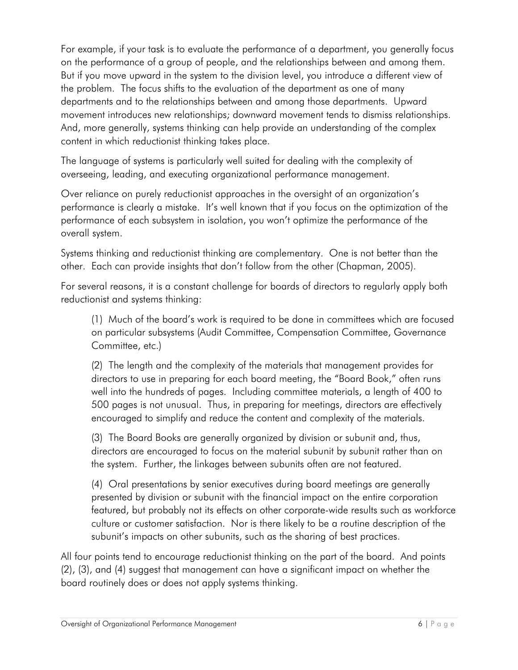For example, if your task is to evaluate the performance of a department, you generally focus on the performance of a group of people, and the relationships between and among them. But if you move upward in the system to the division level, you introduce a different view of the problem. The focus shifts to the evaluation of the department as one of many departments and to the relationships between and among those departments. Upward movement introduces new relationships; downward movement tends to dismiss relationships. And, more generally, systems thinking can help provide an understanding of the complex content in which reductionist thinking takes place.

The language of systems is particularly well suited for dealing with the complexity of overseeing, leading, and executing organizational performance management.

Over reliance on purely reductionist approaches in the oversight of an organization's performance is clearly a mistake. It's well known that if you focus on the optimization of the performance of each subsystem in isolation, you won't optimize the performance of the overall system.

Systems thinking and reductionist thinking are complementary. One is not better than the other. Each can provide insights that don't follow from the other (Chapman, 2005).

For several reasons, it is a constant challenge for boards of directors to regularly apply both reductionist and systems thinking:

(1) Much of the board's work is required to be done in committees which are focused on particular subsystems (Audit Committee, Compensation Committee, Governance Committee, etc.)

(2) The length and the complexity of the materials that management provides for directors to use in preparing for each board meeting, the "Board Book," often runs well into the hundreds of pages. Including committee materials, a length of 400 to 500 pages is not unusual. Thus, in preparing for meetings, directors are effectively encouraged to simplify and reduce the content and complexity of the materials.

(3) The Board Books are generally organized by division or subunit and, thus, directors are encouraged to focus on the material subunit by subunit rather than on the system. Further, the linkages between subunits often are not featured.

(4) Oral presentations by senior executives during board meetings are generally presented by division or subunit with the financial impact on the entire corporation featured, but probably not its effects on other corporate-wide results such as workforce culture or customer satisfaction. Nor is there likely to be a routine description of the subunit's impacts on other subunits, such as the sharing of best practices.

All four points tend to encourage reductionist thinking on the part of the board. And points (2), (3), and (4) suggest that management can have a significant impact on whether the board routinely does or does not apply systems thinking.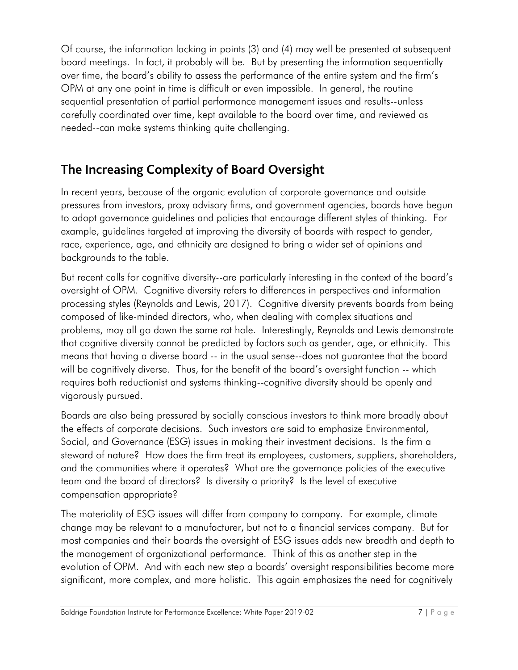Of course, the information lacking in points (3) and (4) may well be presented at subsequent board meetings. In fact, it probably will be. But by presenting the information sequentially over time, the board's ability to assess the performance of the entire system and the firm's OPM at any one point in time is difficult or even impossible. In general, the routine sequential presentation of partial performance management issues and results--unless carefully coordinated over time, kept available to the board over time, and reviewed as needed--can make systems thinking quite challenging.

#### **The Increasing Complexity of Board Oversight**

In recent years, because of the organic evolution of corporate governance and outside pressures from investors, proxy advisory firms, and government agencies, boards have begun to adopt governance guidelines and policies that encourage different styles of thinking. For example, guidelines targeted at improving the diversity of boards with respect to gender, race, experience, age, and ethnicity are designed to bring a wider set of opinions and backgrounds to the table.

But recent calls for cognitive diversity--are particularly interesting in the context of the board's oversight of OPM. Cognitive diversity refers to differences in perspectives and information processing styles (Reynolds and Lewis, 2017). Cognitive diversity prevents boards from being composed of like-minded directors, who, when dealing with complex situations and problems, may all go down the same rat hole. Interestingly, Reynolds and Lewis demonstrate that cognitive diversity cannot be predicted by factors such as gender, age, or ethnicity. This means that having a diverse board -- in the usual sense--does not guarantee that the board will be cognitively diverse. Thus, for the benefit of the board's oversight function -- which requires both reductionist and systems thinking--cognitive diversity should be openly and vigorously pursued.

Boards are also being pressured by socially conscious investors to think more broadly about the effects of corporate decisions. Such investors are said to emphasize Environmental, Social, and Governance (ESG) issues in making their investment decisions. Is the firm a steward of nature? How does the firm treat its employees, customers, suppliers, shareholders, and the communities where it operates? What are the governance policies of the executive team and the board of directors? Is diversity a priority? Is the level of executive compensation appropriate?

The materiality of ESG issues will differ from company to company. For example, climate change may be relevant to a manufacturer, but not to a financial services company. But for most companies and their boards the oversight of ESG issues adds new breadth and depth to the management of organizational performance. Think of this as another step in the evolution of OPM. And with each new step a boards' oversight responsibilities become more significant, more complex, and more holistic. This again emphasizes the need for cognitively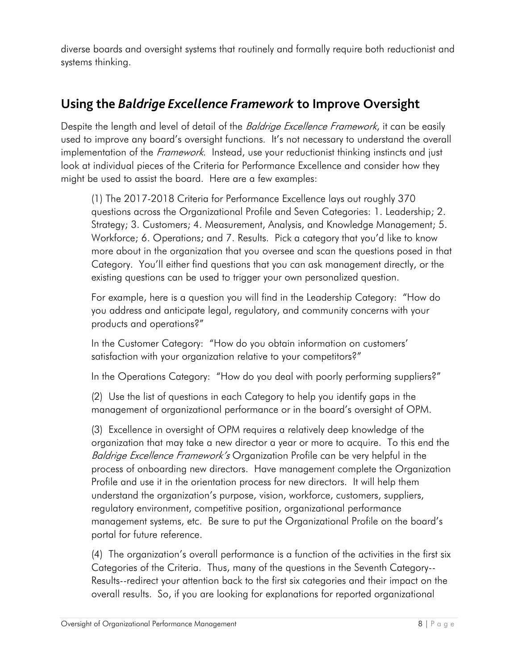diverse boards and oversight systems that routinely and formally require both reductionist and systems thinking.

#### **Using the** *Baldrige Excellence Framework* **to Improve Oversight**

Despite the length and level of detail of the *Baldrige Excellence Framework*, it can be easily used to improve any board's oversight functions. It's not necessary to understand the overall implementation of the *Framework*. Instead, use your reductionist thinking instincts and just look at individual pieces of the Criteria for Performance Excellence and consider how they might be used to assist the board. Here are a few examples:

(1) The 2017-2018 Criteria for Performance Excellence lays out roughly 370 questions across the Organizational Profile and Seven Categories: 1. Leadership; 2. Strategy; 3. Customers; 4. Measurement, Analysis, and Knowledge Management; 5. Workforce; 6. Operations; and 7. Results. Pick a category that you'd like to know more about in the organization that you oversee and scan the questions posed in that Category. You'll either find questions that you can ask management directly, or the existing questions can be used to trigger your own personalized question.

For example, here is a question you will find in the Leadership Category: "How do you address and anticipate legal, regulatory, and community concerns with your products and operations?"

In the Customer Category: "How do you obtain information on customers' satisfaction with your organization relative to your competitors?"

In the Operations Category: "How do you deal with poorly performing suppliers?"

(2) Use the list of questions in each Category to help you identify gaps in the management of organizational performance or in the board's oversight of OPM.

(3) Excellence in oversight of OPM requires a relatively deep knowledge of the organization that may take a new director a year or more to acquire. To this end the Baldrige Excellence Framework's Organization Profile can be very helpful in the process of onboarding new directors. Have management complete the Organization Profile and use it in the orientation process for new directors. It will help them understand the organization's purpose, vision, workforce, customers, suppliers, regulatory environment, competitive position, organizational performance management systems, etc. Be sure to put the Organizational Profile on the board's portal for future reference.

(4) The organization's overall performance is a function of the activities in the first six Categories of the Criteria. Thus, many of the questions in the Seventh Category-- Results--redirect your attention back to the first six categories and their impact on the overall results. So, if you are looking for explanations for reported organizational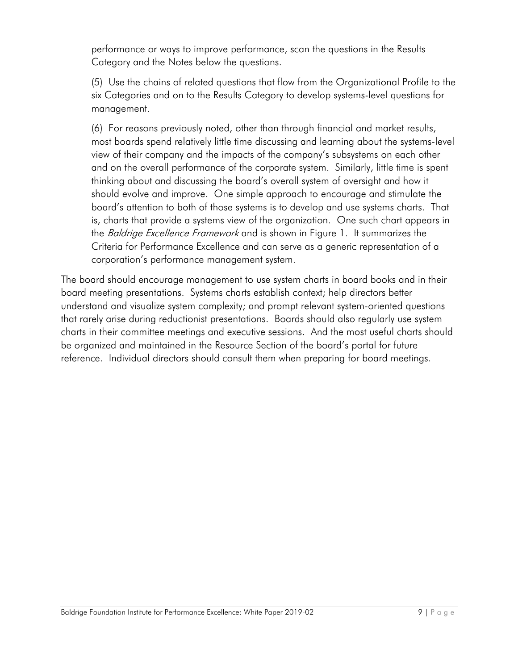performance or ways to improve performance, scan the questions in the Results Category and the Notes below the questions.

(5) Use the chains of related questions that flow from the Organizational Profile to the six Categories and on to the Results Category to develop systems-level questions for management.

(6) For reasons previously noted, other than through financial and market results, most boards spend relatively little time discussing and learning about the systems-level view of their company and the impacts of the company's subsystems on each other and on the overall performance of the corporate system. Similarly, little time is spent thinking about and discussing the board's overall system of oversight and how it should evolve and improve. One simple approach to encourage and stimulate the board's attention to both of those systems is to develop and use systems charts. That is, charts that provide a systems view of the organization. One such chart appears in the *Baldrige Excellence Framework* and is shown in Figure 1. It summarizes the Criteria for Performance Excellence and can serve as a generic representation of a corporation's performance management system.

The board should encourage management to use system charts in board books and in their board meeting presentations. Systems charts establish context; help directors better understand and visualize system complexity; and prompt relevant system-oriented questions that rarely arise during reductionist presentations. Boards should also regularly use system charts in their committee meetings and executive sessions. And the most useful charts should be organized and maintained in the Resource Section of the board's portal for future reference. Individual directors should consult them when preparing for board meetings.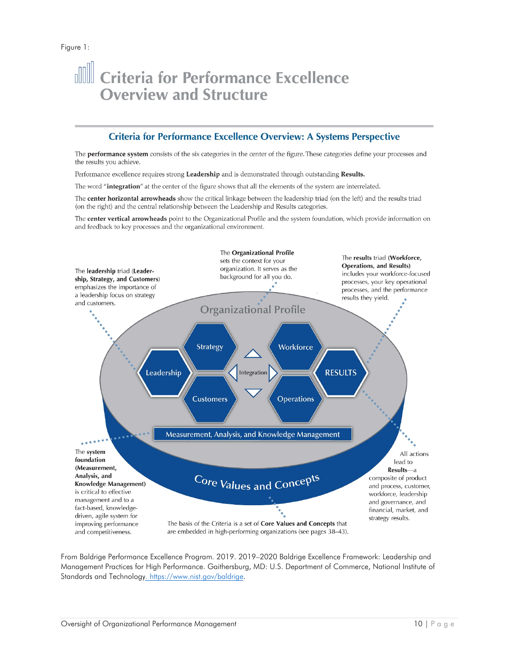## **Ill Criteria for Performance Excellence Overview and Structure**

#### **Criteria for Performance Excellence Overview: A Systems Perspective**

The performance system consists of the six categories in the center of the figure. These categories define your processes and the results you achieve.

Performance excellence requires strong Leadership and is demonstrated through outstanding Results.

The word "integration" at the center of the figure shows that all the elements of the system are interrelated.

The center horizontal arrowheads show the critical linkage between the leadership triad (on the left) and the results triad (on the right) and the central relationship between the Leadership and Results categories.

The center vertical arrowheads point to the Organizational Profile and the system foundation, which provide information on and feedback to key processes and the organizational environment.



From Baldrige Performance Excellence Program. 2019. 2019–2020 Baldrige Excellence Framework: Leadership and Management Practices for High Performance. Gaithersburg, MD: U.S. Department of Commerce, National Institute of Standards and Technolog[y. https://www.nist.gov/baldrige.](https://www.nist.gov/baldrige)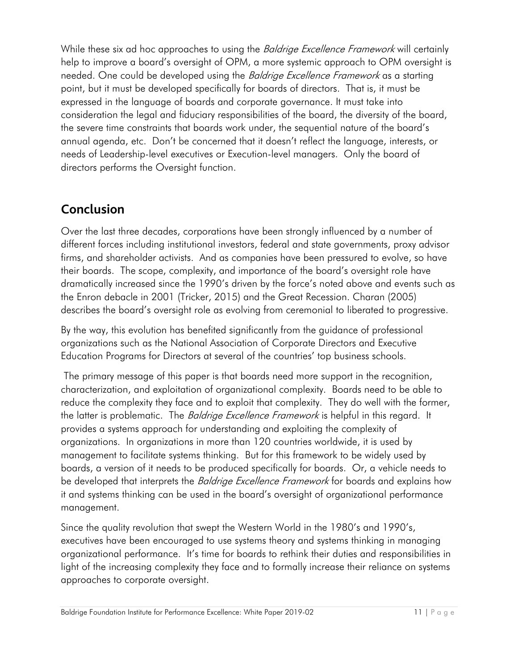While these six ad hoc approaches to using the *Baldrige Excellence Framework* will certainly help to improve a board's oversight of OPM, a more systemic approach to OPM oversight is needed. One could be developed using the *Baldrige Excellence Framework* as a starting point, but it must be developed specifically for boards of directors. That is, it must be expressed in the language of boards and corporate governance. It must take into consideration the legal and fiduciary responsibilities of the board, the diversity of the board, the severe time constraints that boards work under, the sequential nature of the board's annual agenda, etc. Don't be concerned that it doesn't reflect the language, interests, or needs of Leadership-level executives or Execution-level managers. Only the board of directors performs the Oversight function.

#### **Conclusion**

Over the last three decades, corporations have been strongly influenced by a number of different forces including institutional investors, federal and state governments, proxy advisor firms, and shareholder activists. And as companies have been pressured to evolve, so have their boards. The scope, complexity, and importance of the board's oversight role have dramatically increased since the 1990's driven by the force's noted above and events such as the Enron debacle in 2001 (Tricker, 2015) and the Great Recession. Charan (2005) describes the board's oversight role as evolving from ceremonial to liberated to progressive.

By the way, this evolution has benefited significantly from the guidance of professional organizations such as the National Association of Corporate Directors and Executive Education Programs for Directors at several of the countries' top business schools.

The primary message of this paper is that boards need more support in the recognition, characterization, and exploitation of organizational complexity. Boards need to be able to reduce the complexity they face and to exploit that complexity. They do well with the former, the latter is problematic. The *Baldrige Excellence Framework* is helpful in this regard. It provides a systems approach for understanding and exploiting the complexity of organizations. In organizations in more than 120 countries worldwide, it is used by management to facilitate systems thinking. But for this framework to be widely used by boards, a version of it needs to be produced specifically for boards. Or, a vehicle needs to be developed that interprets the *Baldrige Excellence Framework* for boards and explains how it and systems thinking can be used in the board's oversight of organizational performance management.

Since the quality revolution that swept the Western World in the 1980's and 1990's, executives have been encouraged to use systems theory and systems thinking in managing organizational performance. It's time for boards to rethink their duties and responsibilities in light of the increasing complexity they face and to formally increase their reliance on systems approaches to corporate oversight.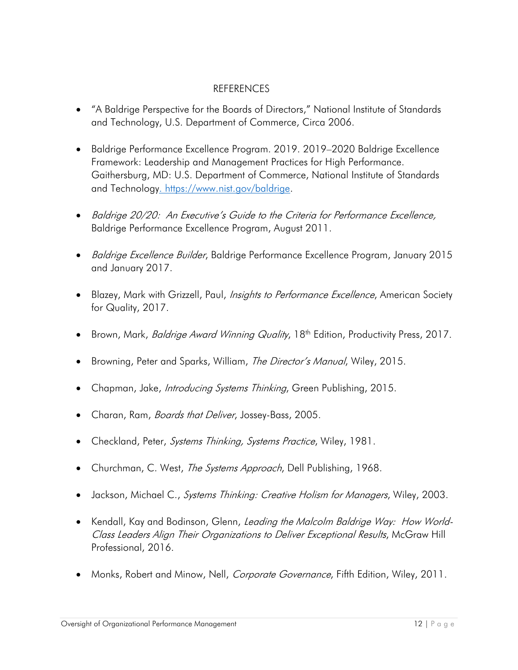#### REFERENCES

- "A Baldrige Perspective for the Boards of Directors," National Institute of Standards and Technology, U.S. Department of Commerce, Circa 2006.
- Baldrige Performance Excellence Program. 2019. 2019–2020 Baldrige Excellence Framework: Leadership and Management Practices for High Performance. Gaithersburg, MD: U.S. Department of Commerce, National Institute of Standards and Technolog[y. https://www.nist.gov/baldrige.](https://www.nist.gov/baldrige)
- Baldrige 20/20: An Executive's Guide to the Criteria for Performance Excellence, Baldrige Performance Excellence Program, August 2011.
- *Baldrige Excellence Builder*, Baldrige Performance Excellence Program, January 2015 and January 2017.
- Blazey, Mark with Grizzell, Paul, *Insights to Performance Excellence*, American Society for Quality, 2017.
- Brown, Mark, *Baldrige Award Winning Quality*, 18<sup>th</sup> Edition, Productivity Press, 2017.
- Browning, Peter and Sparks, William, The Director's Manual, Wiley, 2015.
- Chapman, Jake, *Introducing Systems Thinking*, Green Publishing, 2015.
- Charan, Ram, Boards that Deliver, Jossey-Bass, 2005.
- Checkland, Peter, Systems Thinking, Systems Practice, Wiley, 1981.
- Churchman, C. West, The Systems Approach, Dell Publishing, 1968.
- Jackson, Michael C., Systems Thinking: Creative Holism for Managers, Wiley, 2003.
- Kendall, Kay and Bodinson, Glenn, Leading the Malcolm Baldrige Way: How World-Class Leaders Align Their Organizations to Deliver Exceptional Results, McGraw Hill Professional, 2016.
- Monks, Robert and Minow, Nell, Corporate Governance, Fifth Edition, Wiley, 2011.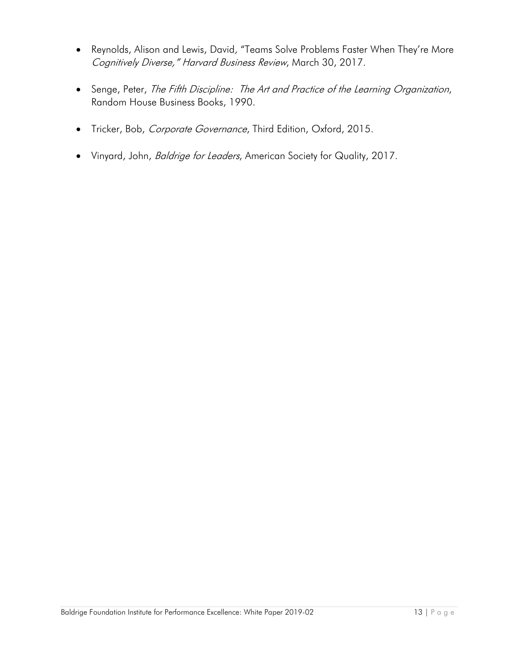- Reynolds, Alison and Lewis, David, "Teams Solve Problems Faster When They're More Cognitively Diverse," Harvard Business Review, March 30, 2017.
- Senge, Peter, The Fifth Discipline: The Art and Practice of the Learning Organization, Random House Business Books, 1990.
- Tricker, Bob, Corporate Governance, Third Edition, Oxford, 2015.
- Vinyard, John, *Baldrige for Leaders*, American Society for Quality, 2017.